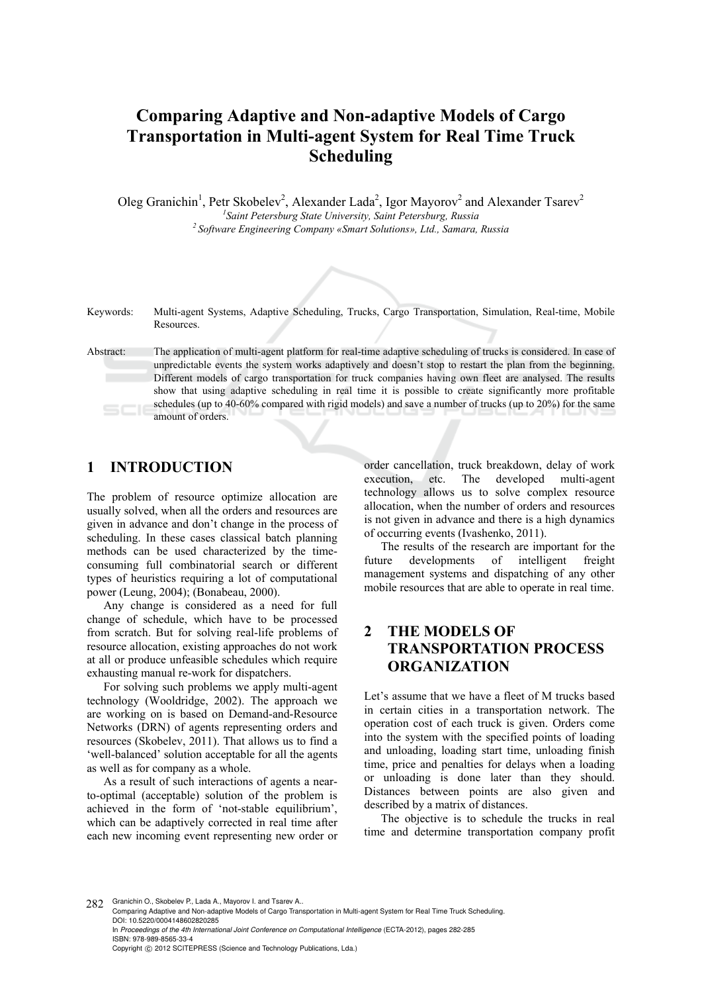# **Comparing Adaptive and Non-adaptive Models of Cargo Transportation in Multi-agent System for Real Time Truck Scheduling**

Oleg Granichin<sup>1</sup>, Petr Skobelev<sup>2</sup>, Alexander Lada<sup>2</sup>, Igor Mayorov<sup>2</sup> and Alexander Tsarev<sup>2</sup> <sup>1</sup> Saint Petersburg State University, Saint Petersburg, Russia *Saint Petersburg State University, Saint Petersburg, Russia 2 Software Engineering Company «Smart Solutions», Ltd., Samara, Russia* 

Keywords: Multi-agent Systems, Adaptive Scheduling, Trucks, Cargo Transportation, Simulation, Real-time, Mobile Resources.

Abstract: The application of multi-agent platform for real-time adaptive scheduling of trucks is considered. In case of unpredictable events the system works adaptively and doesn't stop to restart the plan from the beginning. Different models of cargo transportation for truck companies having own fleet are analysed. The results show that using adaptive scheduling in real time it is possible to create significantly more profitable schedules (up to 40-60% compared with rigid models) and save a number of trucks (up to 20%) for the same amount of orders.

#### **1 INTRODUCTION**

The problem of resource optimize allocation are usually solved, when all the orders and resources are given in advance and don't change in the process of scheduling. In these cases classical batch planning methods can be used characterized by the timeconsuming full combinatorial search or different types of heuristics requiring a lot of computational power (Leung, 2004); (Bonabeau, 2000).

Any change is considered as a need for full change of schedule, which have to be processed from scratch. But for solving real-life problems of resource allocation, existing approaches do not work at all or produce unfeasible schedules which require exhausting manual re-work for dispatchers.

For solving such problems we apply multi-agent technology (Wooldridge, 2002). The approach we are working on is based on Demand-and-Resource Networks (DRN) of agents representing orders and resources (Skobelev, 2011). That allows us to find a 'well-balanced' solution acceptable for all the agents as well as for company as a whole.

As a result of such interactions of agents a nearto-optimal (acceptable) solution of the problem is achieved in the form of 'not-stable equilibrium', which can be adaptively corrected in real time after each new incoming event representing new order or

order cancellation, truck breakdown, delay of work execution, etc. The developed multi-agent technology allows us to solve complex resource allocation, when the number of orders and resources is not given in advance and there is a high dynamics of occurring events (Ivashenko, 2011).

The results of the research are important for the future developments of intelligent freight management systems and dispatching of any other mobile resources that are able to operate in real time.

## **2 THE MODELS OF TRANSPORTATION PROCESS ORGANIZATION**

Let's assume that we have a fleet of M trucks based in certain cities in a transportation network. The operation cost of each truck is given. Orders come into the system with the specified points of loading and unloading, loading start time, unloading finish time, price and penalties for delays when a loading or unloading is done later than they should. Distances between points are also given and described by a matrix of distances.

The objective is to schedule the trucks in real time and determine transportation company profit

282 Granichin O., Skobelev P., Lada A., Mayorov I. and Tsarev A..

Comparing Adaptive and Non-adaptive Models of Cargo Transportation in Multi-agent System for Real Time Truck Scheduling. DOI: 10.5220/0004148602820285 In *Proceedings of the 4th International Joint Conference on Computational Intelligence* (ECTA-2012), pages 282-285

ISBN: 978-989-8565-33-4 Copyright © 2012 SCITEPRESS (Science and Technology Publications, Lda.)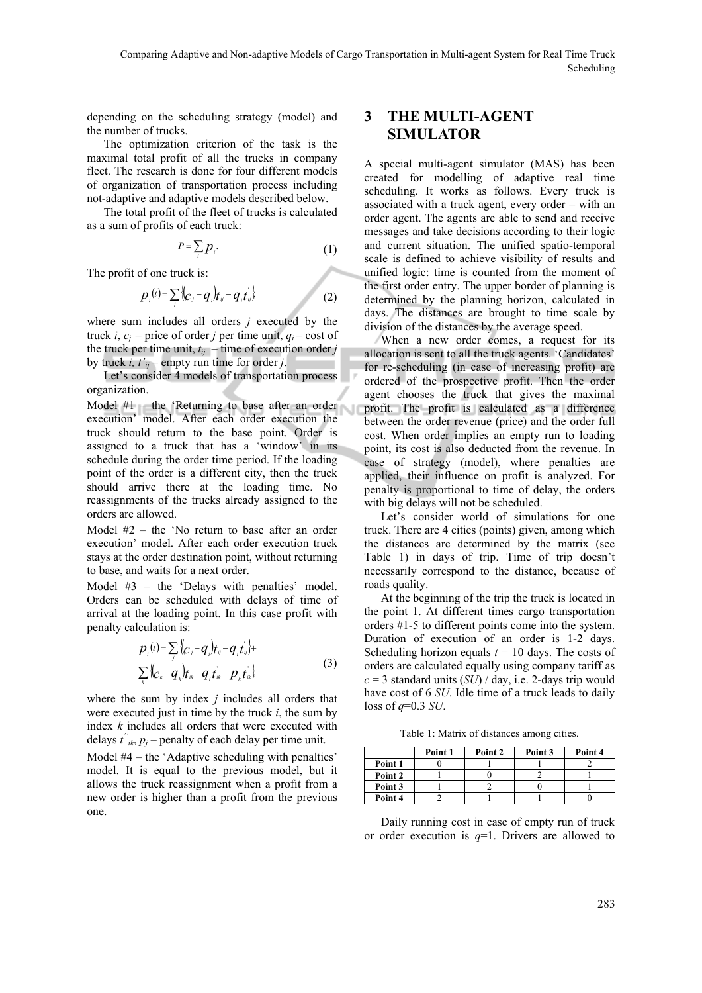depending on the scheduling strategy (model) and the number of trucks.

The optimization criterion of the task is the maximal total profit of all the trucks in company fleet. The research is done for four different models of organization of transportation process including not-adaptive and adaptive models described below.

The total profit of the fleet of trucks is calculated as a sum of profits of each truck:

$$
P = \sum_{i} p_{i}.
$$
 (1)

The profit of one truck is:

$$
p_{i}(t) = \sum_{j} \{ (c_{j} - q_{i}) t_{ij} - q_{i} t_{ij} \}
$$
 (2)

where sum includes all orders *j* executed by the truck *i*,  $c_i$  – price of order *j* per time unit,  $q_i$  – cost of the truck per time unit,  $t_{ii}$  – time of execution order *j* by truck *i*,  $t'_{ij}$  – empty run time for order *j*.

Let's consider 4 models of transportation process organization.

Model  $#1$  – the 'Returning to base after an order execution' model. After each order execution the truck should return to the base point. Order is assigned to a truck that has a 'window' in its schedule during the order time period. If the loading point of the order is a different city, then the truck should arrive there at the loading time. No reassignments of the trucks already assigned to the orders are allowed.

Model #2 – the 'No return to base after an order execution' model. After each order execution truck stays at the order destination point, without returning to base, and waits for a next order.

Model #3 – the 'Delays with penalties' model. Orders can be scheduled with delays of time of arrival at the loading point. In this case profit with penalty calculation is:

$$
p_{i}(t) = \sum_{j} {C_{i} - q_{i} \overline{t}_{ij} - q_{i} t_{ij}} +
$$
  

$$
\sum_{k} {C_{k} - q_{k} \overline{t}_{ik} - q_{i} t_{ik} - p_{k} t_{ik}} \tag{3}
$$

where the sum by index *j* includes all orders that were executed just in time by the truck *i*, the sum by index *k* includes all orders that were executed with delays  $t^{\prime\prime}_{ik}$ ,  $p_j$  – penalty of each delay per time unit.

Model #4 – the 'Adaptive scheduling with penalties' model. It is equal to the previous model, but it allows the truck reassignment when a profit from a new order is higher than a profit from the previous one.

### **3 THE MULTI-AGENT SIMULATOR**

A special multi-agent simulator (MAS) has been created for modelling of adaptive real time scheduling. It works as follows. Every truck is associated with a truck agent, every order – with an order agent. The agents are able to send and receive messages and take decisions according to their logic and current situation. The unified spatio-temporal scale is defined to achieve visibility of results and unified logic: time is counted from the moment of the first order entry. The upper border of planning is determined by the planning horizon, calculated in days. The distances are brought to time scale by division of the distances by the average speed.

When a new order comes, a request for its allocation is sent to all the truck agents. 'Candidates' for re-scheduling (in case of increasing profit) are ordered of the prospective profit. Then the order agent chooses the truck that gives the maximal profit. The profit is calculated as a difference between the order revenue (price) and the order full cost. When order implies an empty run to loading point, its cost is also deducted from the revenue. In case of strategy (model), where penalties are applied, their influence on profit is analyzed. For penalty is proportional to time of delay, the orders with big delays will not be scheduled.

Let's consider world of simulations for one truck. There are 4 cities (points) given, among which the distances are determined by the matrix (see Table 1) in days of trip. Time of trip doesn't necessarily correspond to the distance, because of roads quality.

At the beginning of the trip the truck is located in the point 1. At different times cargo transportation orders #1-5 to different points come into the system. Duration of execution of an order is 1-2 days. Scheduling horizon equals  $t = 10$  days. The costs of orders are calculated equally using company tariff as  $c = 3$  standard units (*SU*) / day, i.e. 2-days trip would have cost of 6 *SU*. Idle time of a truck leads to daily loss of *q*=0.3 *SU*.

Table 1: Matrix of distances among cities.

|         | Point 1 | Point 2 | Point 3 | Point 4 |
|---------|---------|---------|---------|---------|
| Point 1 |         |         |         |         |
| Point 2 |         |         |         |         |
| Point 3 |         |         |         |         |
| Point 4 |         |         |         |         |

Daily running cost in case of empty run of truck or order execution is *q*=1. Drivers are allowed to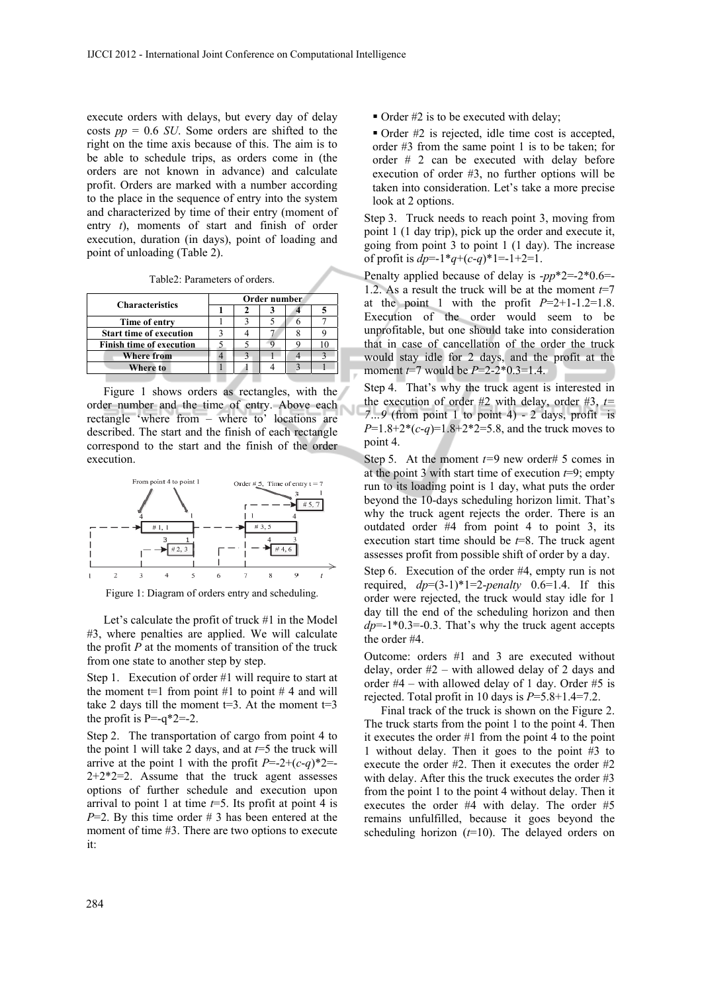execute orders with delays, but every day of delay costs *pp* = 0.6 *SU*. Some orders are shifted to the right on the time axis because of this. The aim is to be able to schedule trips, as orders come in (the orders are not known in advance) and calculate profit. Orders are marked with a number according to the place in the sequence of entry into the system and characterized by time of their entry (moment of entry *t*), moments of start and finish of order execution, duration (in days), point of loading and point of unloading (Table 2).

Table2: Parameters of orders.

| <b>Characteristics</b>          | Order number |  |  |  |  |  |
|---------------------------------|--------------|--|--|--|--|--|
|                                 |              |  |  |  |  |  |
| Time of entry                   |              |  |  |  |  |  |
| <b>Start time of execution</b>  |              |  |  |  |  |  |
| <b>Finish time of execution</b> |              |  |  |  |  |  |
| <b>Where from</b>               |              |  |  |  |  |  |
| Where to                        |              |  |  |  |  |  |
|                                 |              |  |  |  |  |  |

Figure 1 shows orders as rectangles, with the order number and the time of entry. Above each rectangle 'where from – where to' locations are described. The start and the finish of each rectangle correspond to the start and the finish of the order execution.



Figure 1: Diagram of orders entry and scheduling.

Let's calculate the profit of truck #1 in the Model #3, where penalties are applied. We will calculate the profit *P* at the moments of transition of the truck from one state to another step by step.

Step 1. Execution of order #1 will require to start at the moment  $t=1$  from point #1 to point #4 and will take 2 days till the moment  $t=3$ . At the moment  $t=3$ the profit is  $P=-q^*2=-2$ .

Step 2. The transportation of cargo from point 4 to the point 1 will take 2 days, and at  $t=5$  the truck will arrive at the point 1 with the profit  $P=2+(c-q)^2=$  $2+2+2=2$ . Assume that the truck agent assesses options of further schedule and execution upon arrival to point 1 at time  $t=5$ . Its profit at point 4 is  $P=2$ . By this time order # 3 has been entered at the moment of time #3. There are two options to execute it:

 $\bullet$  Order #2 is to be executed with delay;

 Order #2 is rejected, idle time cost is accepted, order #3 from the same point 1 is to be taken; for order # 2 can be executed with delay before execution of order #3, no further options will be taken into consideration. Let's take a more precise look at 2 options.

Step 3. Truck needs to reach point 3, moving from point 1 (1 day trip), pick up the order and execute it, going from point 3 to point 1 (1 day). The increase of profit is  $dp=1*q+(c-q)*1=1+2=1$ .

Penalty applied because of delay is -*pp*\*2=-2\*0.6=- 1.2. As a result the truck will be at the moment  $t=7$ at the point 1 with the profit  $P=2+1-1.2=1.8$ . Execution of the order would seem to be unprofitable, but one should take into consideration that in case of cancellation of the order the truck would stay idle for 2 days, and the profit at the moment *t*=7 would be *P*=2-2\*0.3=1.4.

Step 4. That's why the truck agent is interested in the execution of order #2 with delay, order #3,  $t=$ *7…9* (from point 1 to point 4) - 2 days, profit is *P*=1.8+2\*(*c*-*q*)=1.8+2\*2=5.8, and the truck moves to point 4.

Step 5. At the moment  $t=9$  new order# 5 comes in at the point 3 with start time of execution *t*=9; empty run to its loading point is 1 day, what puts the order beyond the 10-days scheduling horizon limit. That's why the truck agent rejects the order. There is an outdated order #4 from point 4 to point 3, its execution start time should be *t*=8. The truck agent assesses profit from possible shift of order by a day.

Step 6. Execution of the order #4, empty run is not required,  $dp=(3-1)*1=2$ -*penalty* 0.6=1.4. If this order were rejected, the truck would stay idle for 1 day till the end of the scheduling horizon and then  $dp=1*0.3=0.3$ . That's why the truck agent accepts the order #4.

Outcome: orders #1 and 3 are executed without delay, order  $#2$  – with allowed delay of 2 days and order  $#4$  – with allowed delay of 1 day. Order  $#5$  is rejected. Total profit in 10 days is  $P=5.8+1.4=7.2$ .

Final track of the truck is shown on the Figure 2. The truck starts from the point 1 to the point 4. Then it executes the order #1 from the point 4 to the point 1 without delay. Then it goes to the point #3 to execute the order #2. Then it executes the order #2 with delay. After this the truck executes the order #3 from the point 1 to the point 4 without delay. Then it executes the order #4 with delay. The order #5 remains unfulfilled, because it goes beyond the scheduling horizon (*t*=10). The delayed orders on